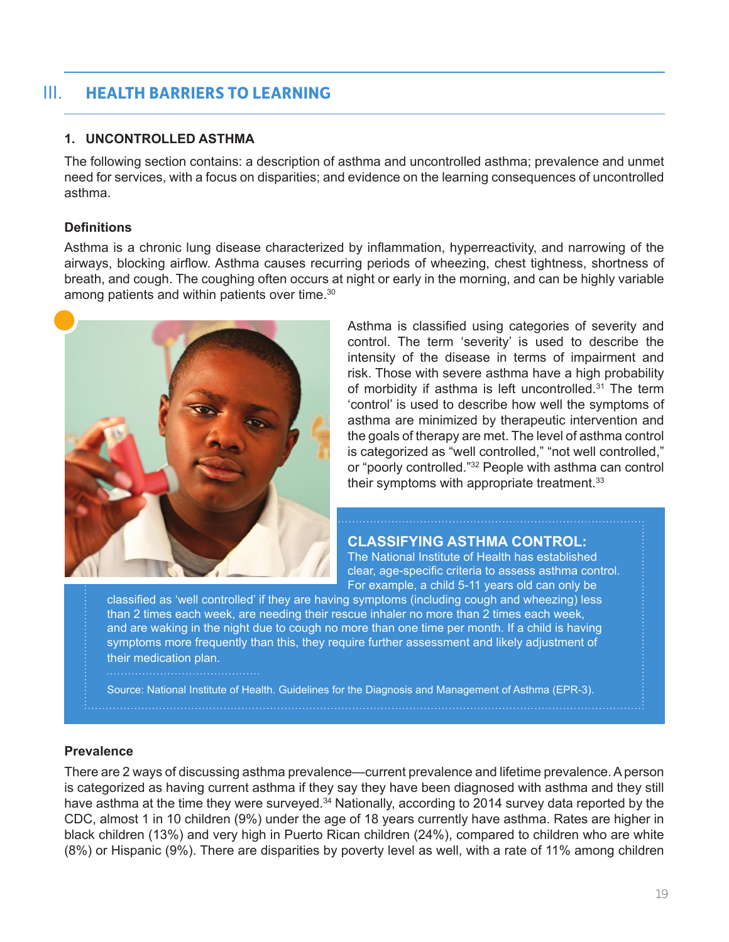# III. **HEALTH BARRIERS TO LEARNING**

# **1. UNCONTROLLED ASTHMA**

The following section contains: a description of asthma and uncontrolled asthma; prevalence and unmet need for services, with a focus on disparities; and evidence on the learning consequences of uncontrolled asthma.

### **Definitions**

Asthma is a chronic lung disease characterized by inflammation, hyperreactivity, and narrowing of the airways, blocking airflow. Asthma causes recurring periods of wheezing, chest tightness, shortness of breath, and cough. The coughing often occurs at night or early in the morning, and can be highly variable among patients and within patients over time.<sup>30</sup>



Asthma is classified using categories of severity and control. The term 'severity' is used to describe the intensity of the disease in terms of impairment and risk. Those with severe asthma have a high probability of morbidity if asthma is left uncontrolled.<sup>31</sup> The term 'control' is used to describe how well the symptoms of asthma are minimized by therapeutic intervention and the goals of therapy are met. The level of asthma control is categorized as "well controlled," "not well controlled," or "poorly controlled."32 People with asthma can control their symptoms with appropriate treatment.33

#### **CLASSIFYING ASTHMA CONTROL:**

The National Institute of Health has established clear, age-specific criteria to assess asthma control. For example, a child 5-11 years old can only be

classified as 'well controlled' if they are having symptoms (including cough and wheezing) less than 2 times each week, are needing their rescue inhaler no more than 2 times each week, and are waking in the night due to cough no more than one time per month. If a child is having symptoms more frequently than this, they require further assessment and likely adjustment of their medication plan.

Source: National Institute of Health. Guidelines for the Diagnosis and Management of Asthma (EPR-3).

#### **Prevalence**

There are 2 ways of discussing asthma prevalence—current prevalence and lifetime prevalence. A person is categorized as having current asthma if they say they have been diagnosed with asthma and they still have asthma at the time they were surveyed.<sup>34</sup> Nationally, according to 2014 survey data reported by the CDC, almost 1 in 10 children (9%) under the age of 18 years currently have asthma. Rates are higher in black children (13%) and very high in Puerto Rican children (24%), compared to children who are white (8%) or Hispanic (9%). There are disparities by poverty level as well, with a rate of 11% among children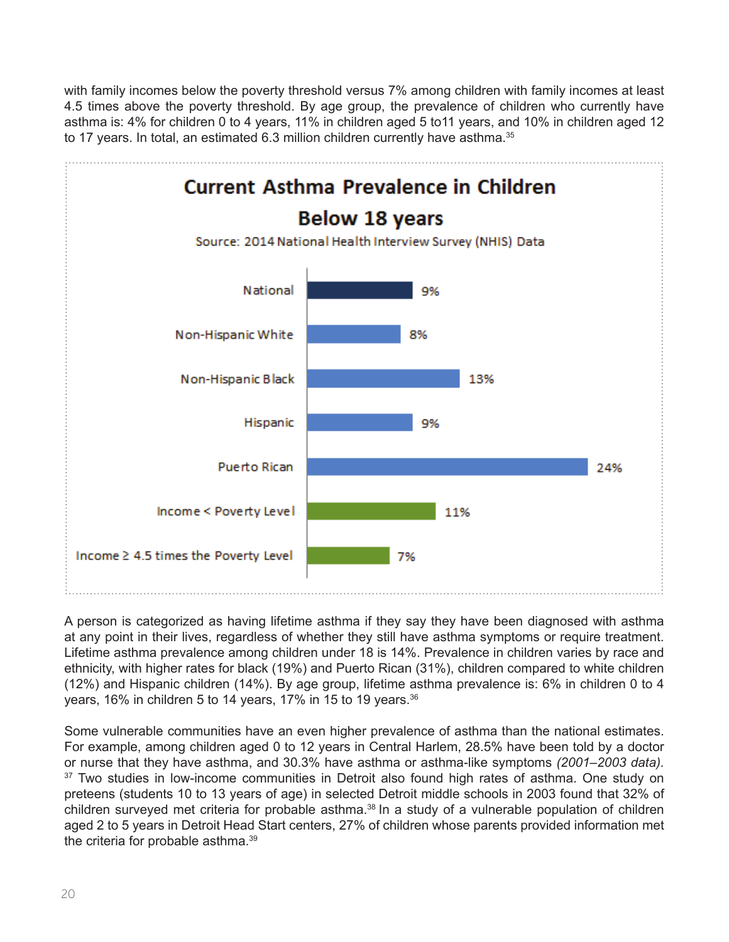with family incomes below the poverty threshold versus 7% among children with family incomes at least 4.5 times above the poverty threshold. By age group, the prevalence of children who currently have asthma is: 4% for children 0 to 4 years, 11% in children aged 5 to11 years, and 10% in children aged 12 to 17 years. In total, an estimated 6.3 million children currently have asthma.<sup>35</sup>



A person is categorized as having lifetime asthma if they say they have been diagnosed with asthma at any point in their lives, regardless of whether they still have asthma symptoms or require treatment. Lifetime asthma prevalence among children under 18 is 14%. Prevalence in children varies by race and ethnicity, with higher rates for black (19%) and Puerto Rican (31%), children compared to white children (12%) and Hispanic children (14%). By age group, lifetime asthma prevalence is: 6% in children 0 to 4 years, 16% in children 5 to 14 years, 17% in 15 to 19 years.<sup>36</sup>

Some vulnerable communities have an even higher prevalence of asthma than the national estimates. For example, among children aged 0 to 12 years in Central Harlem, 28.5% have been told by a doctor or nurse that they have asthma, and 30.3% have asthma or asthma-like symptoms *(2001–2003 data).* <sup>37</sup> Two studies in low-income communities in Detroit also found high rates of asthma. One study on preteens (students 10 to 13 years of age) in selected Detroit middle schools in 2003 found that 32% of children surveyed met criteria for probable asthma.<sup>38</sup> In a study of a vulnerable population of children aged 2 to 5 years in Detroit Head Start centers, 27% of children whose parents provided information met the criteria for probable asthma.39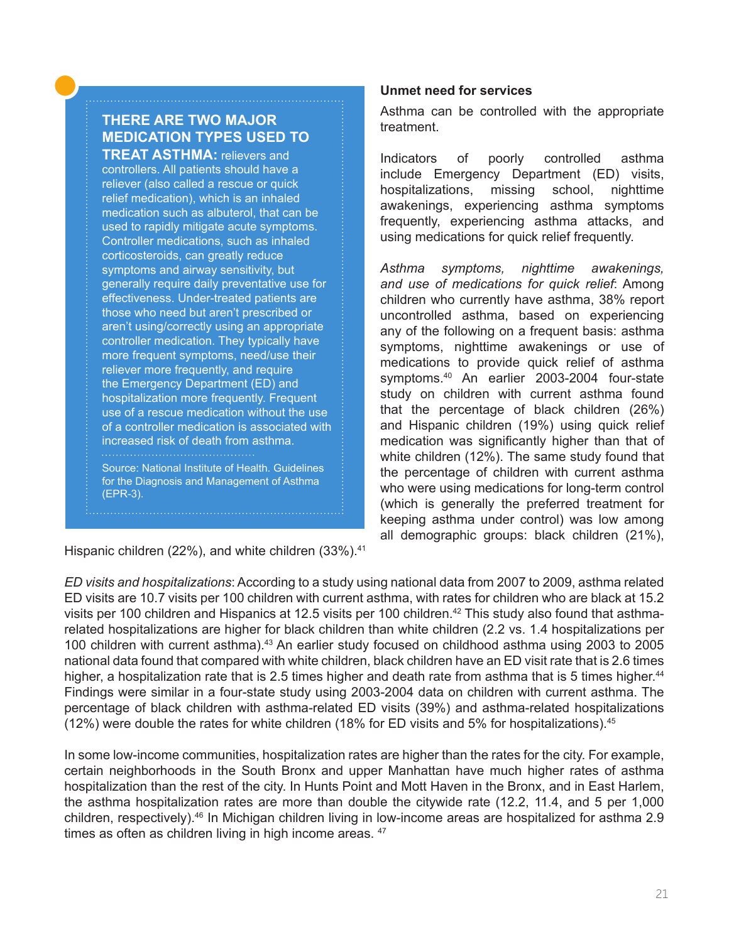# **THERE ARE TWO MAJOR MEDICATION TYPES USED TO TREAT ASTHMA:** relievers and

controllers. All patients should have a reliever (also called a rescue or quick relief medication), which is an inhaled medication such as albuterol, that can be used to rapidly mitigate acute symptoms. Controller medications, such as inhaled corticosteroids, can greatly reduce symptoms and airway sensitivity, but generally require daily preventative use for effectiveness. Under-treated patients are those who need but aren't prescribed or aren't using/correctly using an appropriate controller medication. They typically have more frequent symptoms, need/use their reliever more frequently, and require the Emergency Department (ED) and hospitalization more frequently. Frequent use of a rescue medication without the use of a controller medication is associated with increased risk of death from asthma. 

Source: National Institute of Health. Guidelines for the Diagnosis and Management of Asthma (EPR-3).

Hispanic children (22%), and white children (33%).<sup>41</sup>

# **Unmet need for services**

Asthma can be controlled with the appropriate treatment.

Indicators of poorly controlled asthma include Emergency Department (ED) visits, hospitalizations, missing school, nighttime awakenings, experiencing asthma symptoms frequently, experiencing asthma attacks, and using medications for quick relief frequently.

*Asthma symptoms, nighttime awakenings, and use of medications for quick relief*: Among children who currently have asthma, 38% report uncontrolled asthma, based on experiencing any of the following on a frequent basis: asthma symptoms, nighttime awakenings or use of medications to provide quick relief of asthma symptoms.<sup>40</sup> An earlier 2003-2004 four-state study on children with current asthma found that the percentage of black children (26%) and Hispanic children (19%) using quick relief medication was significantly higher than that of white children (12%). The same study found that the percentage of children with current asthma who were using medications for long-term control (which is generally the preferred treatment for keeping asthma under control) was low among all demographic groups: black children (21%),

*ED visits and hospitalizations*: According to a study using national data from 2007 to 2009, asthma related ED visits are 10.7 visits per 100 children with current asthma, with rates for children who are black at 15.2 visits per 100 children and Hispanics at 12.5 visits per 100 children.<sup>42</sup> This study also found that asthmarelated hospitalizations are higher for black children than white children (2.2 vs. 1.4 hospitalizations per 100 children with current asthma).43 An earlier study focused on childhood asthma using 2003 to 2005 national data found that compared with white children, black children have an ED visit rate that is 2.6 times higher, a hospitalization rate that is 2.5 times higher and death rate from asthma that is 5 times higher.<sup>44</sup> Findings were similar in a four-state study using 2003-2004 data on children with current asthma. The percentage of black children with asthma-related ED visits (39%) and asthma-related hospitalizations (12%) were double the rates for white children (18% for ED visits and 5% for hospitalizations).45

In some low-income communities, hospitalization rates are higher than the rates for the city. For example, certain neighborhoods in the South Bronx and upper Manhattan have much higher rates of asthma hospitalization than the rest of the city. In Hunts Point and Mott Haven in the Bronx, and in East Harlem, the asthma hospitalization rates are more than double the citywide rate (12.2, 11.4, and 5 per 1,000 children, respectively).<sup>46</sup> In Michigan children living in low-income areas are hospitalized for asthma 2.9 times as often as children living in high income areas.  $47$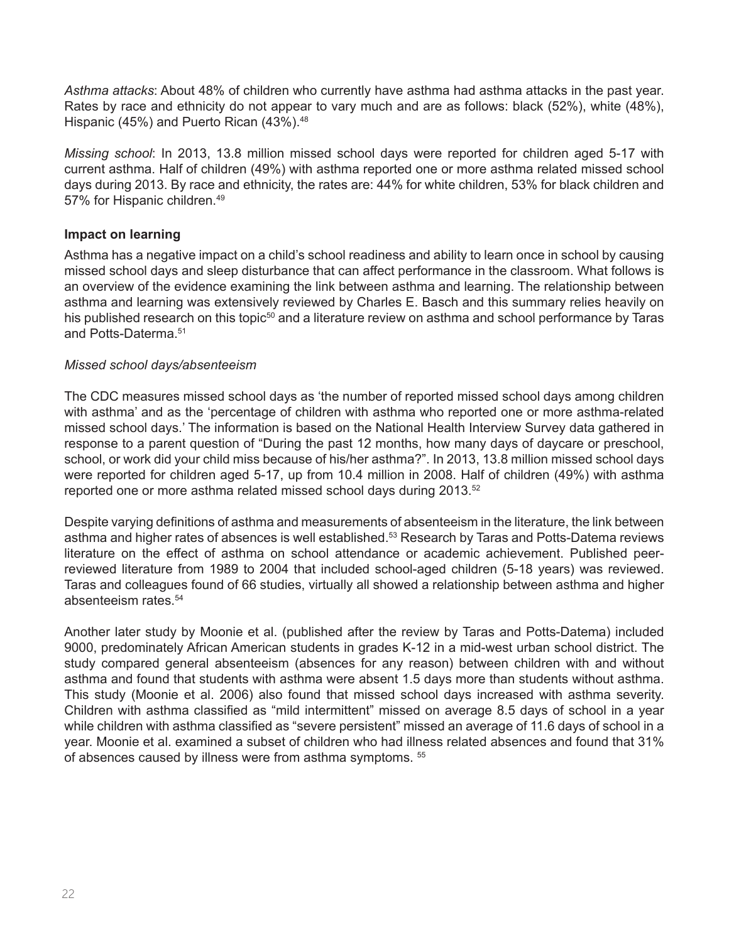*Asthma attacks*: About 48% of children who currently have asthma had asthma attacks in the past year. Rates by race and ethnicity do not appear to vary much and are as follows: black (52%), white (48%), Hispanic (45%) and Puerto Rican (43%).<sup>48</sup>

*Missing school*: In 2013, 13.8 million missed school days were reported for children aged 5-17 with current asthma. Half of children (49%) with asthma reported one or more asthma related missed school days during 2013. By race and ethnicity, the rates are: 44% for white children, 53% for black children and 57% for Hispanic children.49

# **Impact on learning**

Asthma has a negative impact on a child's school readiness and ability to learn once in school by causing missed school days and sleep disturbance that can affect performance in the classroom. What follows is an overview of the evidence examining the link between asthma and learning. The relationship between asthma and learning was extensively reviewed by Charles E. Basch and this summary relies heavily on his published research on this topic<sup>50</sup> and a literature review on asthma and school performance by Taras and Potts-Daterma.<sup>51</sup>

### *Missed school days/absenteeism*

The CDC measures missed school days as 'the number of reported missed school days among children with asthma' and as the 'percentage of children with asthma who reported one or more asthma-related missed school days.' The information is based on the National Health Interview Survey data gathered in response to a parent question of "During the past 12 months, how many days of daycare or preschool, school, or work did your child miss because of his/her asthma?". In 2013, 13.8 million missed school days were reported for children aged 5-17, up from 10.4 million in 2008. Half of children (49%) with asthma reported one or more asthma related missed school days during 2013.<sup>52</sup>

Despite varying definitions of asthma and measurements of absenteeism in the literature, the link between asthma and higher rates of absences is well established.<sup>53</sup> Research by Taras and Potts-Datema reviews literature on the effect of asthma on school attendance or academic achievement. Published peerreviewed literature from 1989 to 2004 that included school-aged children (5-18 years) was reviewed. Taras and colleagues found of 66 studies, virtually all showed a relationship between asthma and higher absenteeism rates.<sup>54</sup>

Another later study by Moonie et al. (published after the review by Taras and Potts-Datema) included 9000, predominately African American students in grades K-12 in a mid-west urban school district. The study compared general absenteeism (absences for any reason) between children with and without asthma and found that students with asthma were absent 1.5 days more than students without asthma. This study (Moonie et al. 2006) also found that missed school days increased with asthma severity. Children with asthma classified as "mild intermittent" missed on average 8.5 days of school in a year while children with asthma classified as "severe persistent" missed an average of 11.6 days of school in a year. Moonie et al. examined a subset of children who had illness related absences and found that 31% of absences caused by illness were from asthma symptoms. 55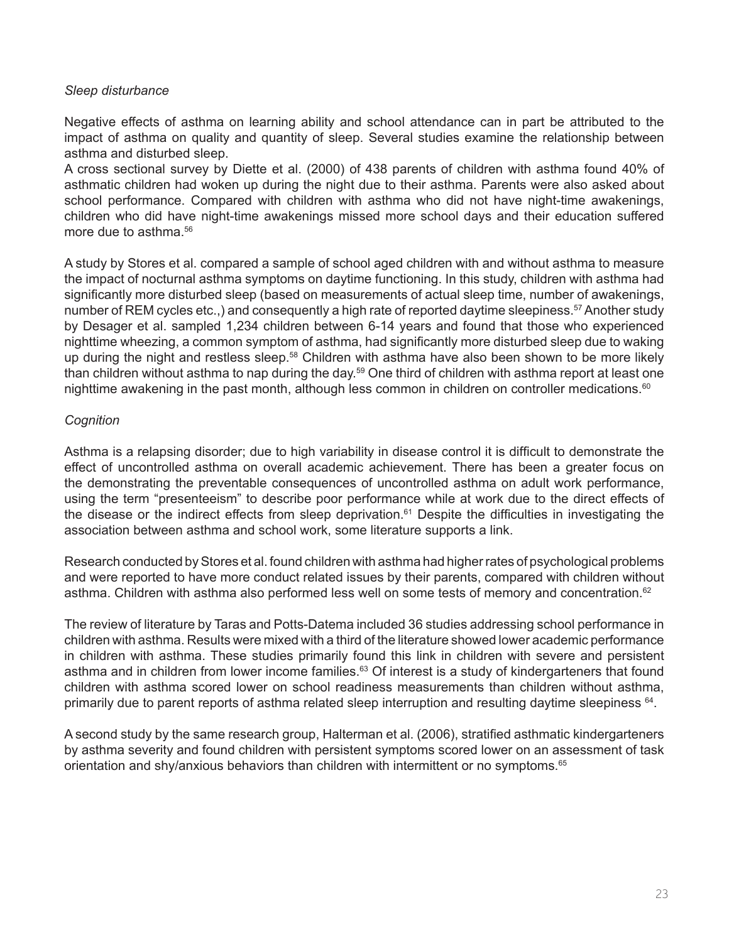# *Sleep disturbance*

Negative effects of asthma on learning ability and school attendance can in part be attributed to the impact of asthma on quality and quantity of sleep. Several studies examine the relationship between asthma and disturbed sleep.

A cross sectional survey by Diette et al. (2000) of 438 parents of children with asthma found 40% of asthmatic children had woken up during the night due to their asthma. Parents were also asked about school performance. Compared with children with asthma who did not have night-time awakenings, children who did have night-time awakenings missed more school days and their education suffered more due to asthma.<sup>56</sup>

A study by Stores et al. compared a sample of school aged children with and without asthma to measure the impact of nocturnal asthma symptoms on daytime functioning. In this study, children with asthma had significantly more disturbed sleep (based on measurements of actual sleep time, number of awakenings, number of REM cycles etc.,) and consequently a high rate of reported daytime sleepiness.<sup>57</sup> Another study by Desager et al. sampled 1,234 children between 6-14 years and found that those who experienced nighttime wheezing, a common symptom of asthma, had significantly more disturbed sleep due to waking up during the night and restless sleep.<sup>58</sup> Children with asthma have also been shown to be more likely than children without asthma to nap during the day.<sup>59</sup> One third of children with asthma report at least one nighttime awakening in the past month, although less common in children on controller medications.<sup>60</sup>

# *Cognition*

Asthma is a relapsing disorder; due to high variability in disease control it is difficult to demonstrate the effect of uncontrolled asthma on overall academic achievement. There has been a greater focus on the demonstrating the preventable consequences of uncontrolled asthma on adult work performance, using the term "presenteeism" to describe poor performance while at work due to the direct effects of the disease or the indirect effects from sleep deprivation.<sup>61</sup> Despite the difficulties in investigating the association between asthma and school work, some literature supports a link.

Research conducted by Stores et al. found children with asthma had higher rates of psychological problems and were reported to have more conduct related issues by their parents, compared with children without asthma. Children with asthma also performed less well on some tests of memory and concentration.<sup>62</sup>

The review of literature by Taras and Potts-Datema included 36 studies addressing school performance in children with asthma. Results were mixed with a third of the literature showed lower academic performance in children with asthma. These studies primarily found this link in children with severe and persistent asthma and in children from lower income families.<sup>63</sup> Of interest is a study of kindergarteners that found children with asthma scored lower on school readiness measurements than children without asthma, primarily due to parent reports of asthma related sleep interruption and resulting daytime sleepiness <sup>64</sup>.

A second study by the same research group, Halterman et al. (2006), stratified asthmatic kindergarteners by asthma severity and found children with persistent symptoms scored lower on an assessment of task orientation and shy/anxious behaviors than children with intermittent or no symptoms.<sup>65</sup>